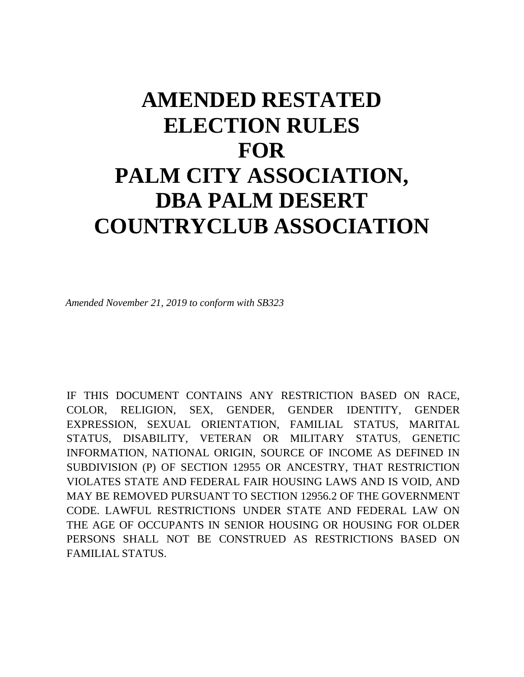## **AMENDED RESTATED ELECTION RULES FOR PALM CITY ASSOCIATION, DBA PALM DESERT COUNTRYCLUB ASSOCIATION**

*Amended November 21, 2019 to conform with SB323*

IF THIS DOCUMENT CONTAINS ANY RESTRICTION BASED ON RACE, COLOR, RELIGION, SEX, GENDER, GENDER IDENTITY, GENDER EXPRESSION, SEXUAL ORIENTATION, FAMILIAL STATUS, MARITAL STATUS, DISABILITY, VETERAN OR MILITARY STATUS, GENETIC INFORMATION, NATIONAL ORIGIN, SOURCE OF INCOME AS DEFINED IN SUBDIVISION (P) OF SECTION 12955 OR ANCESTRY, THAT RESTRICTION VIOLATES STATE AND FEDERAL FAIR HOUSING LAWS AND IS VOID, AND MAY BE REMOVED PURSUANT TO SECTION 12956.2 OF THE GOVERNMENT CODE. LAWFUL RESTRICTIONS UNDER STATE AND FEDERAL LAW ON THE AGE OF OCCUPANTS IN SENIOR HOUSING OR HOUSING FOR OLDER PERSONS SHALL NOT BE CONSTRUED AS RESTRICTIONS BASED ON FAMILIAL STATUS.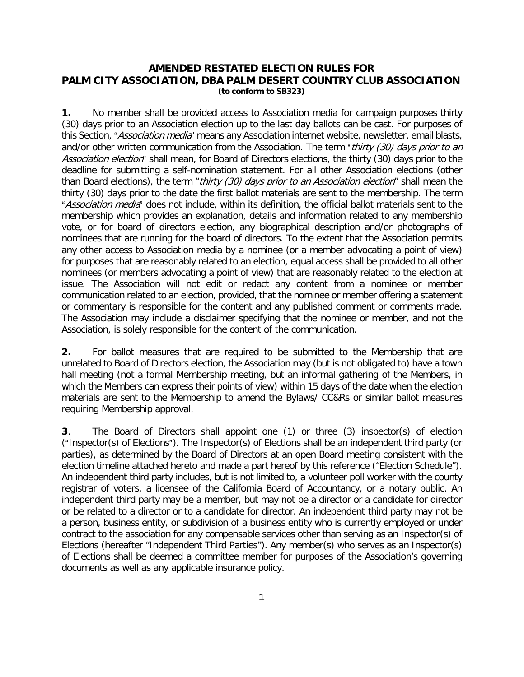## **AMENDED RESTATED ELECTION RULES FOR PALM CITY ASSOCIATION, DBA PALM DESERT COUNTRY CLUB ASSOCIATION (to conform to SB323)**

**1.** No member shall be provided access to Association media for campaign purposes thirty (30) days prior to an Association election up to the last day ballots can be cast. For purposes of this Section, "Association media" means any Association internet website, newsletter, email blasts, and/or other written communication from the Association. The term "thirty (30) days prior to an Association election" shall mean, for Board of Directors elections, the thirty (30) days prior to the deadline for submitting a self-nomination statement. For all other Association elections (other than Board elections), the term "thirty (30) days prior to an Association election" shall mean the thirty (30) days prior to the date the first ballot materials are sent to the membership. The term "Association media" does not include, within its definition, the official ballot materials sent to the membership which provides an explanation, details and information related to any membership vote, or for board of directors election, any biographical description and/or photographs of nominees that are running for the board of directors. To the extent that the Association permits any other access to Association media by a nominee (or a member advocating a point of view) for purposes that are reasonably related to an election, equal access shall be provided to all other nominees (or members advocating a point of view) that are reasonably related to the election at issue. The Association will not edit or redact any content from a nominee or member communication related to an election, provided, that the nominee or member offering a statement or commentary is responsible for the content and any published comment or comments made. The Association may include a disclaimer specifying that the nominee or member, and not the Association, is solely responsible for the content of the communication.

**2.** For ballot measures that are required to be submitted to the Membership that are unrelated to Board of Directors election, the Association may (but is not obligated to) have a town hall meeting (not a formal Membership meeting, but an informal gathering of the Members, in which the Members can express their points of view) within 15 days of the date when the election materials are sent to the Membership to amend the Bylaws/ CC&Rs or similar ballot measures requiring Membership approval.

**3**. The Board of Directors shall appoint one (1) or three (3) inspector(s) of election ("Inspector(s) of Elections"). The Inspector(s) of Elections shall be an independent third party (or parties), as determined by the Board of Directors at an open Board meeting consistent with the election timeline attached hereto and made a part hereof by this reference ("Election Schedule"). An independent third party includes, but is not limited to, a volunteer poll worker with the county registrar of voters, a licensee of the California Board of Accountancy, or a notary public. An independent third party may be a member, but may not be a director or a candidate for director or be related to a director or to a candidate for director. An independent third party may not be a person, business entity, or subdivision of a business entity who is currently employed or under contract to the association for any compensable services other than serving as an Inspector(s) of Elections (hereafter "Independent Third Parties"). Any member(s) who serves as an Inspector(s) of Elections shall be deemed a committee member for purposes of the Association's governing documents as well as any applicable insurance policy.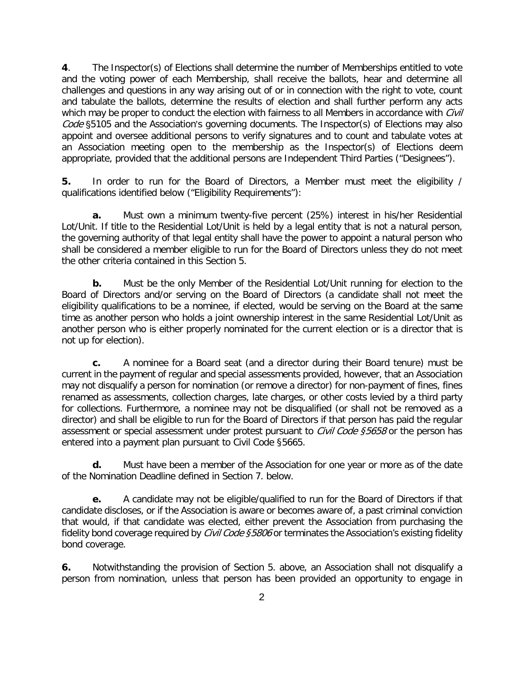**4**. The Inspector(s) of Elections shall determine the number of Memberships entitled to vote and the voting power of each Membership, shall receive the ballots, hear and determine all challenges and questions in any way arising out of or in connection with the right to vote, count and tabulate the ballots, determine the results of election and shall further perform any acts which may be proper to conduct the election with fairness to all Members in accordance with Civil  $Code$   $$5105$  and the Association's governing documents. The Inspector(s) of Elections may also appoint and oversee additional persons to verify signatures and to count and tabulate votes at an Association meeting open to the membership as the Inspector(s) of Elections deem appropriate, provided that the additional persons are Independent Third Parties ("Designees").

**5.** In order to run for the Board of Directors, a Member must meet the eligibility / qualifications identified below ("Eligibility Requirements"):

**a.** Must own a minimum twenty-five percent (25%) interest in his/her Residential Lot/Unit. If title to the Residential Lot/Unit is held by a legal entity that is not a natural person, the governing authority of that legal entity shall have the power to appoint a natural person who shall be considered a member eligible to run for the Board of Directors unless they do not meet the other criteria contained in this Section 5.

**b.** Must be the only Member of the Residential Lot/Unit running for election to the Board of Directors and/or serving on the Board of Directors (a candidate shall not meet the eligibility qualifications to be a nominee, if elected, would be serving on the Board at the same time as another person who holds a joint ownership interest in the same Residential Lot/Unit as another person who is either properly nominated for the current election or is a director that is not up for election).

**c.** A nominee for a Board seat (and a director during their Board tenure) must be current in the payment of regular and special assessments provided, however, that an Association may not disqualify a person for nomination (or remove a director) for non-payment of fines, fines renamed as assessments, collection charges, late charges, or other costs levied by a third party for collections. Furthermore, a nominee may not be disqualified (or shall not be removed as a director) and shall be eligible to run for the Board of Directors if that person has paid the regular assessment or special assessment under protest pursuant to *Civil Code §5658* or the person has entered into a payment plan pursuant to Civil Code §5665.

**d.** Must have been a member of the Association for one year or more as of the date of the Nomination Deadline defined in Section 7. below.

**e.** A candidate may not be eligible/qualified to run for the Board of Directors if that candidate discloses, or if the Association is aware or becomes aware of, a past criminal conviction that would, if that candidate was elected, either prevent the Association from purchasing the fidelity bond coverage required by *Civil Code §5806* or terminates the Association's existing fidelity bond coverage.

**6.** Notwithstanding the provision of Section 5. above, an Association shall not disqualify a person from nomination, unless that person has been provided an opportunity to engage in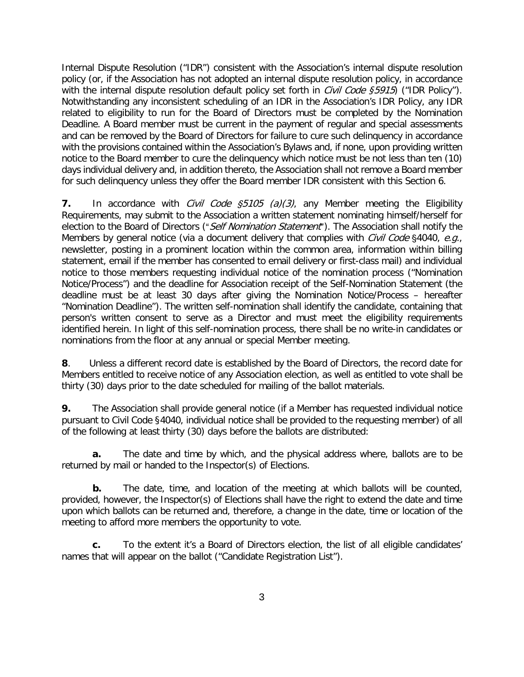Internal Dispute Resolution ("IDR") consistent with the Association's internal dispute resolution policy (or, if the Association has not adopted an internal dispute resolution policy, in accordance with the internal dispute resolution default policy set forth in *Civil Code §5915*) ("IDR Policy"). Notwithstanding any inconsistent scheduling of an IDR in the Association's IDR Policy, any IDR related to eligibility to run for the Board of Directors must be completed by the Nomination Deadline. A Board member must be current in the payment of regular and special assessments and can be removed by the Board of Directors for failure to cure such delinquency in accordance with the provisions contained within the Association's Bylaws and, if none, upon providing written notice to the Board member to cure the delinquency which notice must be not less than ten (10) days individual delivery and, in addition thereto, the Association shall not remove a Board member for such delinquency unless they offer the Board member IDR consistent with this Section 6.

**7.** In accordance with *Civil Code \$5105 (a)(3)*, any Member meeting the Eligibility Requirements, may submit to the Association a written statement nominating himself/herself for election to the Board of Directors ("Self Nomination Statement"). The Association shall notify the Members by general notice (via a document delivery that complies with *Civil Code* §4040, e.g., newsletter, posting in a prominent location within the common area, information within billing statement, email if the member has consented to email delivery or first-class mail) and individual notice to those members requesting individual notice of the nomination process ("Nomination Notice/Process") and the deadline for Association receipt of the Self-Nomination Statement (the deadline must be at least 30 days after giving the Nomination Notice/Process – hereafter "Nomination Deadline"). The written self-nomination shall identify the candidate, containing that person's written consent to serve as a Director and must meet the eligibility requirements identified herein. In light of this self-nomination process, there shall be no write-in candidates or nominations from the floor at any annual or special Member meeting.

**8**. Unless a different record date is established by the Board of Directors, the record date for Members entitled to receive notice of any Association election, as well as entitled to vote shall be thirty (30) days prior to the date scheduled for mailing of the ballot materials.

**9.** The Association shall provide general notice (if a Member has requested individual notice pursuant to Civil Code §4040, individual notice shall be provided to the requesting member) of all of the following at least thirty (30) days before the ballots are distributed:

**a.** The date and time by which, and the physical address where, ballots are to be returned by mail or handed to the Inspector(s) of Elections.

**b.** The date, time, and location of the meeting at which ballots will be counted, provided, however, the Inspector(s) of Elections shall have the right to extend the date and time upon which ballots can be returned and, therefore, a change in the date, time or location of the meeting to afford more members the opportunity to vote.

**c.** To the extent it's a Board of Directors election, the list of all eligible candidates' names that will appear on the ballot ("Candidate Registration List").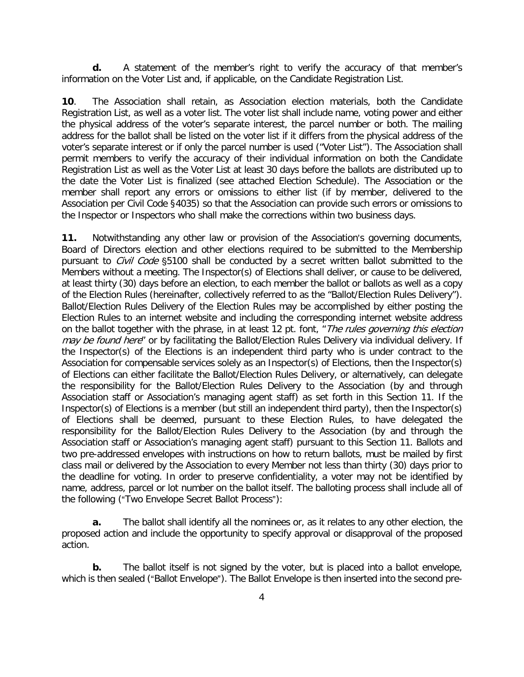**d.** A statement of the member's right to verify the accuracy of that member's information on the Voter List and, if applicable, on the Candidate Registration List.

**10**. The Association shall retain, as Association election materials, both the Candidate Registration List, as well as a voter list. The voter list shall include name, voting power and either the physical address of the voter's separate interest, the parcel number or both. The mailing address for the ballot shall be listed on the voter list if it differs from the physical address of the voter's separate interest or if only the parcel number is used ("Voter List"). The Association shall permit members to verify the accuracy of their individual information on both the Candidate Registration List as well as the Voter List at least 30 days before the ballots are distributed up to the date the Voter List is finalized (see attached Election Schedule). The Association or the member shall report any errors or omissions to either list (if by member, delivered to the Association per Civil Code §4035) so that the Association can provide such errors or omissions to the Inspector or Inspectors who shall make the corrections within two business days.

**11.** Notwithstanding any other law or provision of the Association's governing documents, Board of Directors election and other elections required to be submitted to the Membership pursuant to *Civil Code* \$5100 shall be conducted by a secret written ballot submitted to the Members without a meeting. The Inspector(s) of Elections shall deliver, or cause to be delivered, at least thirty (30) days before an election, to each member the ballot or ballots as well as a copy of the Election Rules (hereinafter, collectively referred to as the "Ballot/Election Rules Delivery"). Ballot/Election Rules Delivery of the Election Rules may be accomplished by either posting the Election Rules to an internet website and including the corresponding internet website address on the ballot together with the phrase, in at least 12 pt. font, "*The rules governing this election* may be found here" or by facilitating the Ballot/Election Rules Delivery via individual delivery. If the Inspector(s) of the Elections is an independent third party who is under contract to the Association for compensable services solely as an Inspector(s) of Elections, then the Inspector(s) of Elections can either facilitate the Ballot/Election Rules Delivery, or alternatively, can delegate the responsibility for the Ballot/Election Rules Delivery to the Association (by and through Association staff or Association's managing agent staff) as set forth in this Section 11. If the Inspector(s) of Elections is a member (but still an independent third party), then the Inspector(s) of Elections shall be deemed, pursuant to these Election Rules, to have delegated the responsibility for the Ballot/Election Rules Delivery to the Association (by and through the Association staff or Association's managing agent staff) pursuant to this Section 11. Ballots and two pre-addressed envelopes with instructions on how to return ballots, must be mailed by first class mail or delivered by the Association to every Member not less than thirty (30) days prior to the deadline for voting. In order to preserve confidentiality, a voter may not be identified by name, address, parcel or lot number on the ballot itself. The balloting process shall include all of the following ("Two Envelope Secret Ballot Process"):

**a.** The ballot shall identify all the nominees or, as it relates to any other election, the proposed action and include the opportunity to specify approval or disapproval of the proposed action.

**b.** The ballot itself is not signed by the voter, but is placed into a ballot envelope, which is then sealed ("Ballot Envelope"). The Ballot Envelope is then inserted into the second pre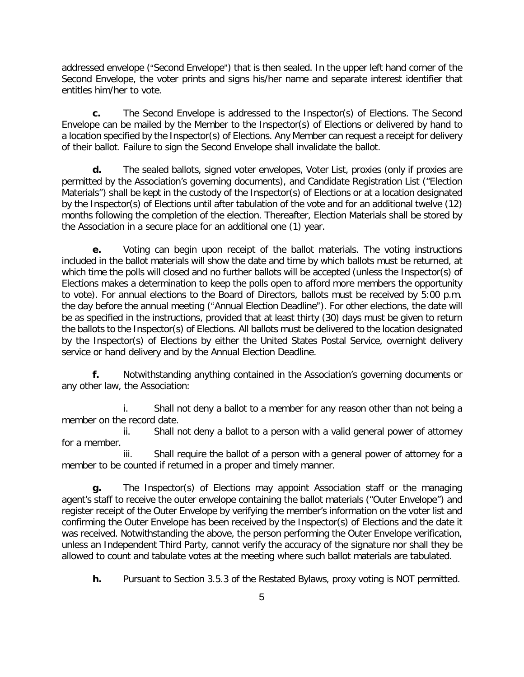addressed envelope ("Second Envelope") that is then sealed. In the upper left hand corner of the Second Envelope, the voter prints and signs his/her name and separate interest identifier that entitles him/her to vote.

**c.** The Second Envelope is addressed to the Inspector(s) of Elections. The Second Envelope can be mailed by the Member to the Inspector(s) of Elections or delivered by hand to a location specified by the Inspector(s) of Elections. Any Member can request a receipt for delivery of their ballot. Failure to sign the Second Envelope shall invalidate the ballot.

**d.** The sealed ballots, signed voter envelopes, Voter List, proxies (only if proxies are permitted by the Association's governing documents), and Candidate Registration List ("Election Materials") shall be kept in the custody of the Inspector(s) of Elections or at a location designated by the Inspector(s) of Elections until after tabulation of the vote and for an additional twelve (12) months following the completion of the election. Thereafter, Election Materials shall be stored by the Association in a secure place for an additional one (1) year.

**e.** Voting can begin upon receipt of the ballot materials. The voting instructions included in the ballot materials will show the date and time by which ballots must be returned, at which time the polls will closed and no further ballots will be accepted (unless the Inspector(s) of Elections makes a determination to keep the polls open to afford more members the opportunity to vote). For annual elections to the Board of Directors, ballots must be received by 5:00 p.m. the day before the annual meeting ("Annual Election Deadline"). For other elections, the date will be as specified in the instructions, provided that at least thirty (30) days must be given to return the ballots to the Inspector(s) of Elections. All ballots must be delivered to the location designated by the Inspector(s) of Elections by either the United States Postal Service, overnight delivery service or hand delivery and by the Annual Election Deadline.

**f.** Notwithstanding anything contained in the Association's governing documents or any other law, the Association:

i. Shall not deny a ballot to a member for any reason other than not being a member on the record date.

ii. Shall not deny a ballot to a person with a valid general power of attorney for a member.

iii. Shall require the ballot of a person with a general power of attorney for a member to be counted if returned in a proper and timely manner.

**g.** The Inspector(s) of Elections may appoint Association staff or the managing agent's staff to receive the outer envelope containing the ballot materials ("Outer Envelope") and register receipt of the Outer Envelope by verifying the member's information on the voter list and confirming the Outer Envelope has been received by the Inspector(s) of Elections and the date it was received. Notwithstanding the above, the person performing the Outer Envelope verification, unless an Independent Third Party, cannot verify the accuracy of the signature nor shall they be allowed to count and tabulate votes at the meeting where such ballot materials are tabulated.

**h.** Pursuant to Section 3.5.3 of the Restated Bylaws, proxy voting is NOT permitted.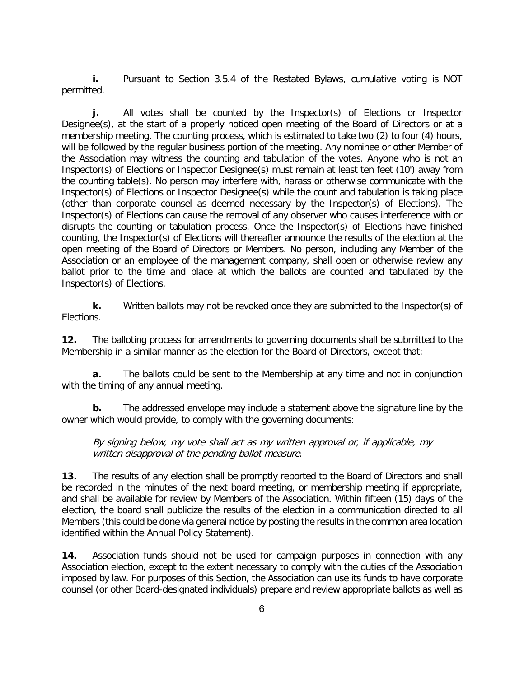**i.** Pursuant to Section 3.5.4 of the Restated Bylaws, cumulative voting is NOT permitted.

**j.** All votes shall be counted by the Inspector(s) of Elections or Inspector Designee(s), at the start of a properly noticed open meeting of the Board of Directors or at a membership meeting. The counting process, which is estimated to take two (2) to four (4) hours, will be followed by the regular business portion of the meeting. Any nominee or other Member of the Association may witness the counting and tabulation of the votes. Anyone who is not an Inspector(s) of Elections or Inspector Designee(s) must remain at least ten feet (10') away from the counting table(s). No person may interfere with, harass or otherwise communicate with the Inspector(s) of Elections or Inspector Designee(s) while the count and tabulation is taking place (other than corporate counsel as deemed necessary by the Inspector(s) of Elections). The Inspector(s) of Elections can cause the removal of any observer who causes interference with or disrupts the counting or tabulation process. Once the Inspector(s) of Elections have finished counting, the Inspector(s) of Elections will thereafter announce the results of the election at the open meeting of the Board of Directors or Members. No person, including any Member of the Association or an employee of the management company, shall open or otherwise review any ballot prior to the time and place at which the ballots are counted and tabulated by the Inspector(s) of Elections.

**k.** Written ballots may not be revoked once they are submitted to the Inspector(s) of Elections.

**12.** The balloting process for amendments to governing documents shall be submitted to the Membership in a similar manner as the election for the Board of Directors, except that:

**a.** The ballots could be sent to the Membership at any time and not in conjunction with the timing of any annual meeting.

**b.** The addressed envelope may include a statement above the signature line by the owner which would provide, to comply with the governing documents:

By signing below, my vote shall act as my written approval or, if applicable, my written disapproval of the pending ballot measure.

**13.** The results of any election shall be promptly reported to the Board of Directors and shall be recorded in the minutes of the next board meeting, or membership meeting if appropriate, and shall be available for review by Members of the Association. Within fifteen (15) days of the election, the board shall publicize the results of the election in a communication directed to all Members (this could be done via general notice by posting the results in the common area location identified within the Annual Policy Statement).

**14.** Association funds should not be used for campaign purposes in connection with any Association election, except to the extent necessary to comply with the duties of the Association imposed by law. For purposes of this Section, the Association can use its funds to have corporate counsel (or other Board-designated individuals) prepare and review appropriate ballots as well as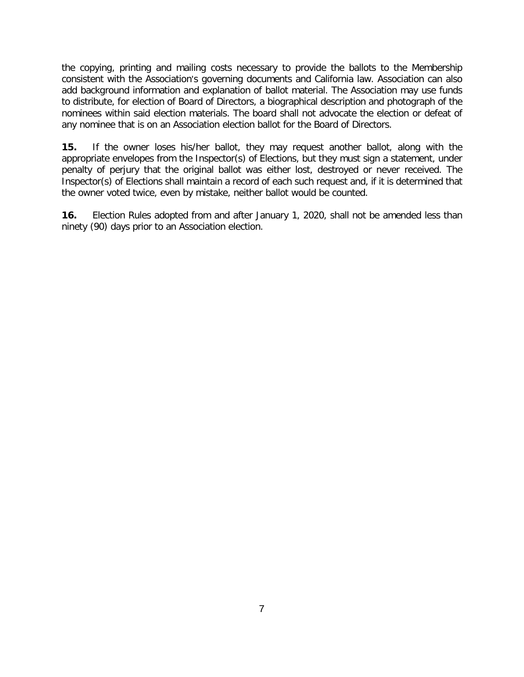the copying, printing and mailing costs necessary to provide the ballots to the Membership consistent with the Association's governing documents and California law. Association can also add background information and explanation of ballot material. The Association may use funds to distribute, for election of Board of Directors, a biographical description and photograph of the nominees within said election materials. The board shall not advocate the election or defeat of any nominee that is on an Association election ballot for the Board of Directors.

**15.** If the owner loses his/her ballot, they may request another ballot, along with the appropriate envelopes from the Inspector(s) of Elections, but they must sign a statement, under penalty of perjury that the original ballot was either lost, destroyed or never received. The Inspector(s) of Elections shall maintain a record of each such request and, if it is determined that the owner voted twice, even by mistake, neither ballot would be counted.

**16.** Election Rules adopted from and after January 1, 2020, shall not be amended less than ninety (90) days prior to an Association election.